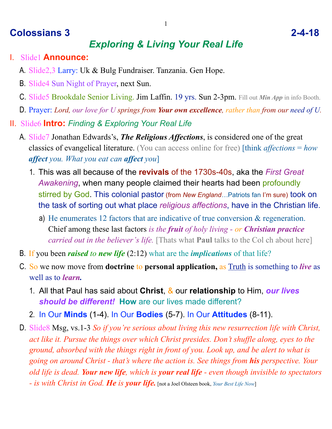## **Colossians 3 2-4-18**

## *Exploring & Living Your Real Life*

- I. Slide1 **Announce:**
	- A. Slide2,3 Larry: Uk & Bulg Fundraiser. Tanzania. Gen Hope.
	- B. Slide4 Sun Night of Prayer, next Sun.
	- C. Slide5 Brookdale Senior Living. Jim Laffin. 19 yrs. Sun 2-3pm. Fill out *Min App* in info Booth.
	- D. Prayer: *Lord, our love for U springs from Your own excellence, rather than from our need of U.*
- II. Slide6 **Intro:** *Finding & Exploring Your Real Life* 
	- A. Slide7 Jonathan Edwards's, *The Religious Affections*, is considered one of the great classics of evangelical literature. (You can access online for free) [think *affections* = *how affect you. What you eat can affect you*]
		- 1. This was all because of the **revivals** of the 1730s-40s, aka the *First Great Awakening*, when many people claimed their hearts had been profoundly stirred by God. This colonial pastor (from *New England…*Patriots fan I'm sure) took on the task of sorting out what place *religious affections*, have in the Christian life.
			- a) He enumerates 12 factors that are indicative of true conversion & regeneration. Chief among these last factors *is the fruit of holy living - or Christian practice carried out in the believer's life.* [Thats what **Paul** talks to the Col ch about here]
	- B. If you been *raised to new life* (2:12) what are the *implications* of that life?
	- C. So we now move from **doctrine** to **personal application,** as Truth is something to *live* as well as to *learn.*
		- 1. All that Paul has said about **Christ**, & our **relationship** to Him, *our lives should be different!* **How** are our lives made different?
		- 2. In Our **Minds** (1-4). In Our **Bodies** (5-7). In Our **Attitudes** (8-11).
	- D. Slide8 Msg, vs.1-3 *So if you're serious about living this new resurrection life with Christ, act like it. Pursue the things over which Christ presides. Don't shuffle along, eyes to the ground, absorbed with the things right in front of you. Look up, and be alert to what is going on around Christ - that's where the action is. See things from his perspective. Your old life is dead. Your new life, which is your real life - even though invisible to spectators - is with Christ in God. He is your life.* [not a Joel Olsteen book, *Your Best Life Now*]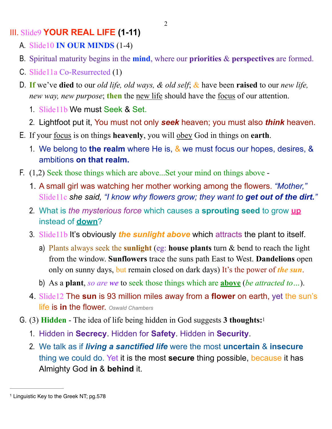III. Slide9 **YOUR REAL LIFE (1-11)**

- A. Slide10 **IN OUR MINDS** (1-4)
- B. Spiritual maturity begins in the **mind**, where our **priorities** & **perspectives** are formed.
- C. Slide11a Co-Resurrected (1)
- D. **If** we've **died** to our *old life, old ways, & old self*; & have been **raised** to our *new life, new way, new purpose*; **then** the new life should have the focus of our attention.
	- 1. Slide11b We must Seek & Set.
	- 2. Lightfoot put it, You must not only *seek* heaven; you must also *think* heaven.
- E. If your focus is on things **heavenly**, you will obey God in things on **earth**.
	- 1. We belong to **the realm** where He is, & we must focus our hopes, desires, & ambitions **on that realm.**
- F. (1,2) Seek those things which are above...Set your mind on things above
	- 1. A small girl was watching her mother working among the flowers. *"Mother,"*  Slide11c *she said, "I know why flowers grow; they want to get out of the dirt."*
	- 2. What is *the mysterious force* which causes a **sprouting seed** to grow **up** instead of **down**?
	- 3. Slide11b It's obviously *the sunlight above* which attracts the plant to itself.
		- a) Plants always seek the **sunlight** (eg: **house plants** turn & bend to reach the light from the window. **Sunflowers** trace the suns path East to West. **Dandelions** open only on sunny days, but remain closed on dark days) It's the power of *the sun*.
		- b) As a **plant**, *so are we* to seek those things which are **above** (*be attracted to…*).
	- 4. Slide12 The **sun** is 93 million miles away from a **flower** on earth, yet the sun's life is **in** the flower. *Oswald Chambers*
- <span id="page-1-1"></span>G. (3) **Hidden** - The idea of life being hidden in God suggests **3 thoughts:**[1](#page-1-0)
	- 1. Hidden in **Secrecy**. Hidden for **Safety**. Hidden in **Security**.
	- 2. We talk as if *living a sanctified life* were the most **uncertain** & **insecure** thing we could do. Yet it is the most **secure** thing possible, because it has Almighty God **in** & **behind** it.

<span id="page-1-0"></span><sup>&</sup>lt;sup>[1](#page-1-1)</sup> Linguistic Key to the Greek NT; pg.578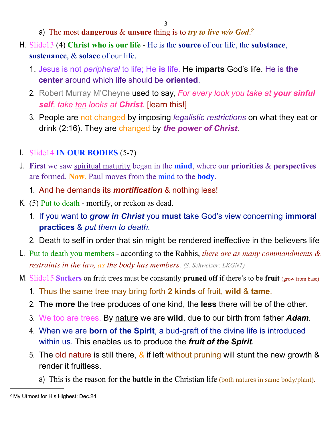- <span id="page-2-1"></span>a) The most **dangerous** & **unsure** thing is to *try to live w/o God*. [2](#page-2-0)
- H. Slide13 (4) **Christ who is our life** He is the **source** of our life, the **substance**, **sustenance**, & **solace** of our life.
	- 1. Jesus is not *peripheral* to life; He **is** life. He **imparts** God's life. He is **the center** around which life should be **oriented**.
	- 2. Robert Murray M'Cheyne used to say, *For every look you take at your sinful self, take ten looks at Christ.* [learn this!]
	- 3. People are not changed by imposing *legalistic restrictions* on what they eat or drink (2:16). They are changed by *the power of Christ.*
- I. Slide14 **IN OUR BODIES** (5-7)
- J. **First** we saw spiritual maturity began in the **mind**, where our **priorities** & **perspectives** are formed. **Now**, Paul moves from the mind to the **body**.
	- 1. And he demands its *mortification* & nothing less!
- K. (5) Put to death mortify, or reckon as dead.
	- 1. If you want to *grow in Christ* you **must** take God's view concerning **immoral practices** & *put them to death.*
	- 2. Death to self in order that sin might be rendered ineffective in the believers life
- L. Put to death you members according to the Rabbis, *there are as many commandments & restraints in the law, as the body has members. (S. Schweizer; LKGNT)*
- M. Slide15 **Suckers** on fruit trees must be constantly **pruned off** if there's to be **fruit** (grow from base)
	- 1. Thus the same tree may bring forth **2 kinds** of fruit, **wild** & **tame**.
	- 2. The **more** the tree produces of one kind, the **less** there will be of the other.
	- 3. We too are trees. By nature we are **wild**, due to our birth from father *Adam*.
	- 4. When we are **born of the Spirit**, a bud-graft of the divine life is introduced within us. This enables us to produce the *fruit of the Spirit*.
	- 5. The old nature is still there,  $\&$  if left without pruning will stunt the new growth  $\&$ render it fruitless.
		- a) This is the reason for **the battle** in the Christian life (both natures in same body/plant).

<span id="page-2-0"></span><sup>&</sup>lt;sup>[2](#page-2-1)</sup> My Utmost for His Highest; Dec.24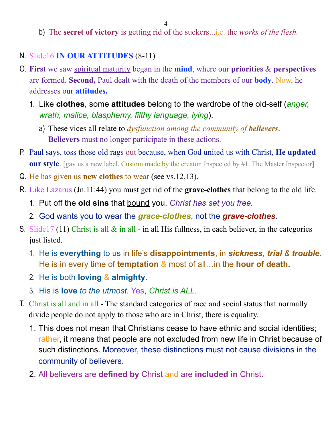- b) The **secret of victory** is getting rid of the suckers...i.e. the *works of the flesh.*
- N. Slide16 **IN OUR ATTITUDES** (8-11)
- O. **First** we saw spiritual maturity began in the **mind**, where our **priorities** & **perspectives** are formed. **Second,** Paul dealt with the death of the members of our **body**. Now, he addresses our **attitudes.**
	- 1. Like **clothes**, some **attitudes** belong to the wardrobe of the old-self (*anger, wrath, malice, blasphemy, filthy language, lying*).
		- a) These vices all relate to *dysfunction among the community of believers*. **Believers** must no longer participate in these actions.
- P. Paul says, toss those old rags out because, when God united us with Christ, **He updated our style**. [gav us a new label. Custom made by the creator. Inspected by #1. The Master Inspector]
- Q. He has given us **new clothes** to wear (see vs.12,13).
- R. Like Lazarus (Jn.11:44) you must get rid of the **grave-clothes** that belong to the old life.
	- 1. Put off the **old sins** that bound you. *Christ has set you free.*
	- 2. God wants you to wear the *grace-clothes*, not the *grave-clothes.*
- S. Slide17 (11) Christ is all  $\&$  in all in all His fullness, in each believer, in the categories just listed.
	- 1. He is **everything** to us in life's **disappointments**, in *sickness, trial & trouble*. He is in every time of **temptation** & most of all…in the **hour of death.**
	- 2. He is both **loving** & **almighty**.
	- 3. His is **love** *to the utmost.* Yes, *Christ is ALL.*
- T. Christ is all and in all The standard categories of race and social status that normally divide people do not apply to those who are in Christ, there is equality.
	- 1. This does not mean that Christians cease to have ethnic and social identities; rather, it means that people are not excluded from new life in Christ because of such distinctions. Moreover, these distinctions must not cause divisions in the community of believers.
	- 2. All believers are **defined by** Christ and are **included in** Christ.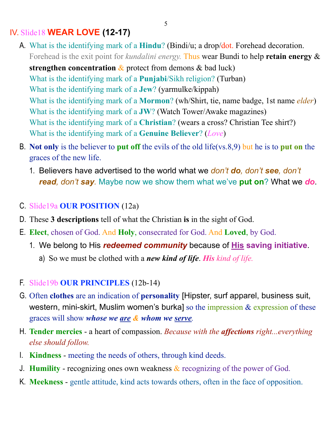## IV. Slide18 **WEAR LOVE (12-17)**

A. What is the identifying mark of a **Hindu**? (Bindi/u; a drop/dot. Forehead decoration. Forehead is the exit point for *kundalini energy.* Thus wear Bundi to help **retain energy** &

**strengthen concentration** & protect from demons & bad luck) What is the identifying mark of a **Punjabi**/Sikh religion? (Turban) What is the identifying mark of a **Jew**? (yarmulke/kippah) What is the identifying mark of a **Mormon**? (wh/Shirt, tie, name badge, 1st name *elder*) What is the identifying mark of a **JW**? (Watch Tower/Awake magazines) What is the identifying mark of a **Christian**? (wears a cross? Christian Tee shirt?) What is the identifying mark of a **Genuine Believer**? (*Love*)

- B. **Not only** is the believer to **put off** the evils of the old life(vs.8,9) but he is to **put on** the graces of the new life.
	- 1. Believers have advertised to the world what we *don't do, don't see, don't read, don't say.* Maybe now we show them what we've **put on**? What we *do*.
- C. Slide19a **OUR POSITION** (12a)
- D. These **3 descriptions** tell of what the Christian **is** in the sight of God.
- E. **Elect**, chosen of God. And **Holy**, consecrated for God. And **Loved**, by God.
	- 1. We belong to His *redeemed community* because of **His saving initiative**.
		- a) So we must be clothed with a *new kind of life*. *His kind of life.*
- F. Slide19b **OUR PRINCIPLES** (12b-14)
- G. Often **clothes** are an indication of **personality** [Hipster, surf apparel, business suit, western, mini-skirt, Muslim women's burka] so the impression & expression of these graces will show *whose we are & whom we serve.*
- H. **Tender mercies** a heart of compassion. *Because with the affections right...everything else should follow.*
- I. **Kindness** meeting the needs of others, through kind deeds.
- J. **Humility**  recognizing ones own weakness & recognizing of the power of God.
- K. **Meekness** gentle attitude, kind acts towards others, often in the face of opposition.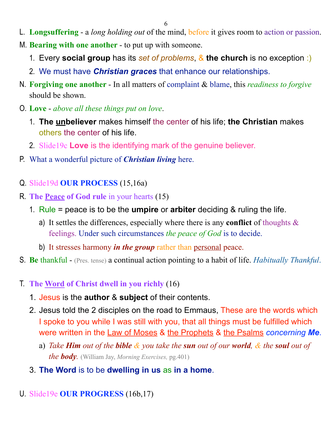- L. **Longsuffering** a *long holding out* of the mind, before it gives room to action or passion.
- M. **Bearing with one another**  to put up with someone.
	- 1. Every **social group** has its *set of problems*, & **the church** is no exception :)
	- 2. We must have *Christian graces* that enhance our relationships.
- N. **Forgiving one another** In all matters of complaint & blame, this *readiness to forgive* should be shown.
- O. **Love** *above all these things put on love*.
	- 1. **The unbeliever** makes himself the center of his life; **the Christian** makes others the center of his life.
	- 2. Slide19c **Love** is the identifying mark of the genuine believer.
- P. What a wonderful picture of *Christian living* here.
- Q. Slide19d **OUR PROCESS** (15,16a)
- R. **The Peace of God rule** in your hearts (15)
	- 1. Rule = peace is to be the **umpire** or **arbiter** deciding & ruling the life.
		- a) It settles the differences, especially where there is any **conflict** of thoughts & feelings. Under such circumstances *the peace of God* is to decide.
		- b) It stresses harmony *in the group* rather than personal peace.
- S. **Be** thankful (Pres. tense) a continual action pointing to a habit of life. *Habitually Thankful*.
- T. **The Word of Christ dwell in you richly** (16)
	- 1. Jesus is the **author** & **subject** of their contents.
	- 2. Jesus told the 2 disciples on the road to Emmaus, These are the words which I spoke to you while I was still with you, that all things must be fulfilled which were written in the Law of Moses & the Prophets & the Psalms *concerning Me*.
		- a) *Take Him out of the bible & you take the sun out of our world, & the soul out of the body.* (William Jay, *Morning Exercises,* pg.401)
	- 3. **The Word** is to be **dwelling in us** as **in a home**.
- U. Slide19e **OUR PROGRESS** (16b,17)